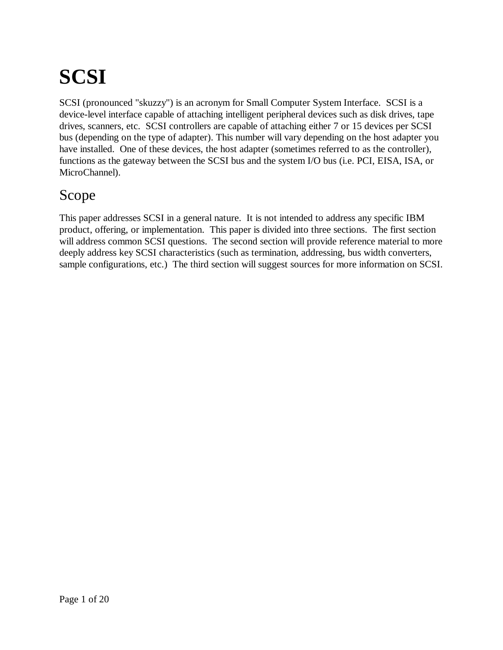# **SCSI**

SCSI (pronounced "skuzzy") is an acronym for Small Computer System Interface. SCSI is a device-level interface capable of attaching intelligent peripheral devices such as disk drives, tape drives, scanners, etc. SCSI controllers are capable of attaching either 7 or 15 devices per SCSI bus (depending on the type of adapter). This number will vary depending on the host adapter you have installed. One of these devices, the host adapter (sometimes referred to as the controller), functions as the gateway between the SCSI bus and the system I/O bus (i.e. PCI, EISA, ISA, or MicroChannel).

#### Scope

This paper addresses SCSI in a general nature. It is not intended to address any specific IBM product, offering, or implementation. This paper is divided into three sections. The first section will address common SCSI questions. The second section will provide reference material to more deeply address key SCSI characteristics (such as termination, addressing, bus width converters, sample configurations, etc.) The third section will suggest sources for more information on SCSI.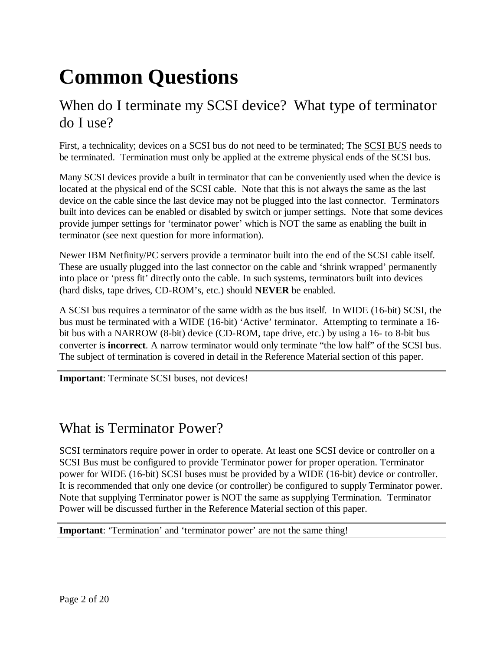## **Common Questions**

## When do I terminate my SCSI device? What type of terminator do I use?

First, a technicality; devices on a SCSI bus do not need to be terminated; The SCSI BUS needs to be terminated. Termination must only be applied at the extreme physical ends of the SCSI bus.

Many SCSI devices provide a built in terminator that can be conveniently used when the device is located at the physical end of the SCSI cable. Note that this is not always the same as the last device on the cable since the last device may not be plugged into the last connector. Terminators built into devices can be enabled or disabled by switch or jumper settings. Note that some devices provide jumper settings for 'terminator power' which is NOT the same as enabling the built in terminator (see next question for more information).

Newer IBM Netfinity/PC servers provide a terminator built into the end of the SCSI cable itself. These are usually plugged into the last connector on the cable and 'shrink wrapped' permanently into place or 'press fit' directly onto the cable. In such systems, terminators built into devices (hard disks, tape drives, CD-ROM's, etc.) should **NEVER** be enabled.

A SCSI bus requires a terminator of the same width as the bus itself. In WIDE (16-bit) SCSI, the bus must be terminated with a WIDE (16-bit) 'Active' terminator. Attempting to terminate a 16 bit bus with a NARROW (8-bit) device (CD-ROM, tape drive, etc.) by using a 16- to 8-bit bus converter is **incorrect**. A narrow terminator would only terminate "the low half" of the SCSI bus. The subject of termination is covered in detail in the Reference Material section of this paper.

**Important**: Terminate SCSI buses, not devices!

#### What is Terminator Power?

SCSI terminators require power in order to operate. At least one SCSI device or controller on a SCSI Bus must be configured to provide Terminator power for proper operation. Terminator power for WIDE (16-bit) SCSI buses must be provided by a WIDE (16-bit) device or controller. It is recommended that only one device (or controller) be configured to supply Terminator power. Note that supplying Terminator power is NOT the same as supplying Termination. Terminator Power will be discussed further in the Reference Material section of this paper.

**Important**: 'Termination' and 'terminator power' are not the same thing!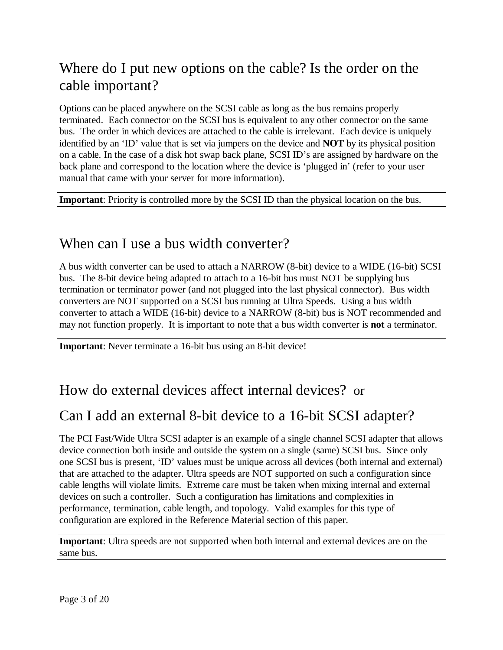## Where do I put new options on the cable? Is the order on the cable important?

Options can be placed anywhere on the SCSI cable as long as the bus remains properly terminated. Each connector on the SCSI bus is equivalent to any other connector on the same bus. The order in which devices are attached to the cable is irrelevant. Each device is uniquely identified by an 'ID' value that is set via jumpers on the device and **NOT** by its physical position on a cable. In the case of a disk hot swap back plane, SCSI ID's are assigned by hardware on the back plane and correspond to the location where the device is 'plugged in' (refer to your user manual that came with your server for more information).

**Important**: Priority is controlled more by the SCSI ID than the physical location on the bus.

## When can I use a bus width converter?

A bus width converter can be used to attach a NARROW (8-bit) device to a WIDE (16-bit) SCSI bus. The 8-bit device being adapted to attach to a 16-bit bus must NOT be supplying bus termination or terminator power (and not plugged into the last physical connector). Bus width converters are NOT supported on a SCSI bus running at Ultra Speeds. Using a bus width converter to attach a WIDE (16-bit) device to a NARROW (8-bit) bus is NOT recommended and may not function properly. It is important to note that a bus width converter is **not** a terminator.

**Important**: Never terminate a 16-bit bus using an 8-bit device!

## How do external devices affect internal devices? or

#### Can I add an external 8-bit device to a 16-bit SCSI adapter?

The PCI Fast/Wide Ultra SCSI adapter is an example of a single channel SCSI adapter that allows device connection both inside and outside the system on a single (same) SCSI bus. Since only one SCSI bus is present, 'ID' values must be unique across all devices (both internal and external) that are attached to the adapter. Ultra speeds are NOT supported on such a configuration since cable lengths will violate limits. Extreme care must be taken when mixing internal and external devices on such a controller. Such a configuration has limitations and complexities in performance, termination, cable length, and topology. Valid examples for this type of configuration are explored in the Reference Material section of this paper.

**Important**: Ultra speeds are not supported when both internal and external devices are on the same bus.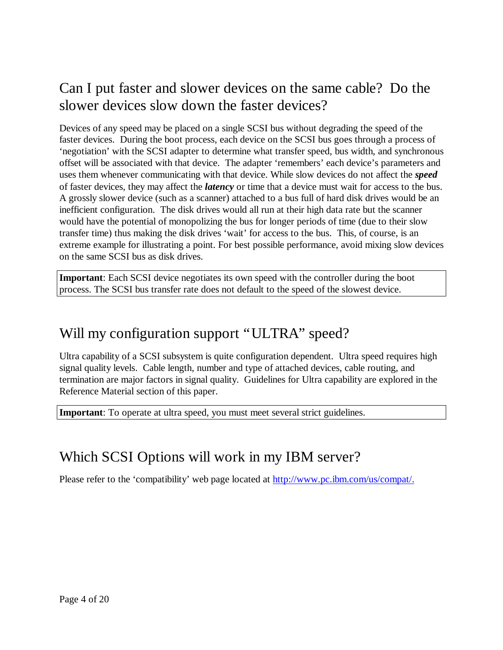## Can I put faster and slower devices on the same cable? Do the slower devices slow down the faster devices?

Devices of any speed may be placed on a single SCSI bus without degrading the speed of the faster devices. During the boot process, each device on the SCSI bus goes through a process of 'negotiation' with the SCSI adapter to determine what transfer speed, bus width, and synchronous offset will be associated with that device. The adapter 'remembers' each device's parameters and uses them whenever communicating with that device. While slow devices do not affect the *speed* of faster devices, they may affect the *latency* or time that a device must wait for access to the bus. A grossly slower device (such as a scanner) attached to a bus full of hard disk drives would be an inefficient configuration. The disk drives would all run at their high data rate but the scanner would have the potential of monopolizing the bus for longer periods of time (due to their slow transfer time) thus making the disk drives 'wait' for access to the bus. This, of course, is an extreme example for illustrating a point. For best possible performance, avoid mixing slow devices on the same SCSI bus as disk drives.

**Important**: Each SCSI device negotiates its own speed with the controller during the boot process. The SCSI bus transfer rate does not default to the speed of the slowest device.

## Will my configuration support "ULTRA" speed?

Ultra capability of a SCSI subsystem is quite configuration dependent. Ultra speed requires high signal quality levels. Cable length, number and type of attached devices, cable routing, and termination are major factors in signal quality. Guidelines for Ultra capability are explored in the Reference Material section of this paper.

**Important**: To operate at ultra speed, you must meet several strict guidelines.

#### Which SCSI Options will work in my IBM server?

Please refer to the 'compatibility' web page located at http://www.pc.ibm.com/us/compat/.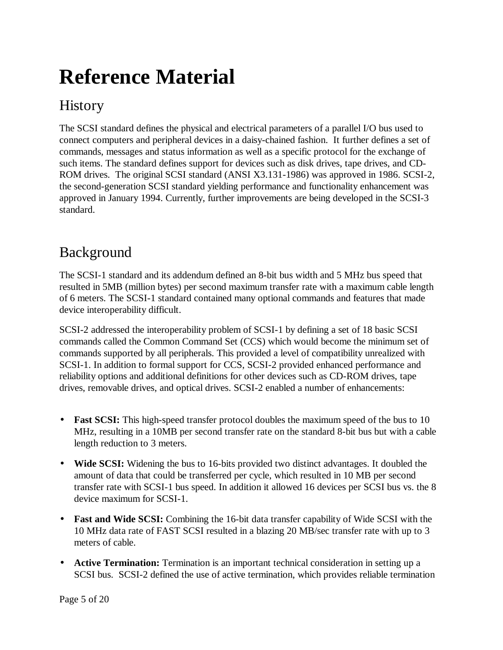## **Reference Material**

## **History**

The SCSI standard defines the physical and electrical parameters of a parallel I/O bus used to connect computers and peripheral devices in a daisy-chained fashion. It further defines a set of commands, messages and status information as well as a specific protocol for the exchange of such items. The standard defines support for devices such as disk drives, tape drives, and CD-ROM drives. The original SCSI standard (ANSI X3.131-1986) was approved in 1986. SCSI-2, the second-generation SCSI standard yielding performance and functionality enhancement was approved in January 1994. Currently, further improvements are being developed in the SCSI-3 standard.

## Background

The SCSI-1 standard and its addendum defined an 8-bit bus width and 5 MHz bus speed that resulted in 5MB (million bytes) per second maximum transfer rate with a maximum cable length of 6 meters. The SCSI-1 standard contained many optional commands and features that made device interoperability difficult.

SCSI-2 addressed the interoperability problem of SCSI-1 by defining a set of 18 basic SCSI commands called the Common Command Set (CCS) which would become the minimum set of commands supported by all peripherals. This provided a level of compatibility unrealized with SCSI-1. In addition to formal support for CCS, SCSI-2 provided enhanced performance and reliability options and additional definitions for other devices such as CD-ROM drives, tape drives, removable drives, and optical drives. SCSI-2 enabled a number of enhancements:

- **Fast SCSI:** This high-speed transfer protocol doubles the maximum speed of the bus to 10 MHz, resulting in a 10MB per second transfer rate on the standard 8-bit bus but with a cable length reduction to 3 meters.
- **Wide SCSI:** Widening the bus to 16-bits provided two distinct advantages. It doubled the amount of data that could be transferred per cycle, which resulted in 10 MB per second transfer rate with SCSI-1 bus speed. In addition it allowed 16 devices per SCSI bus vs. the 8 device maximum for SCSI-1.
- **Fast and Wide SCSI:** Combining the 16-bit data transfer capability of Wide SCSI with the 10 MHz data rate of FAST SCSI resulted in a blazing 20 MB/sec transfer rate with up to 3 meters of cable.
- **Active Termination:** Termination is an important technical consideration in setting up a SCSI bus. SCSI-2 defined the use of active termination, which provides reliable termination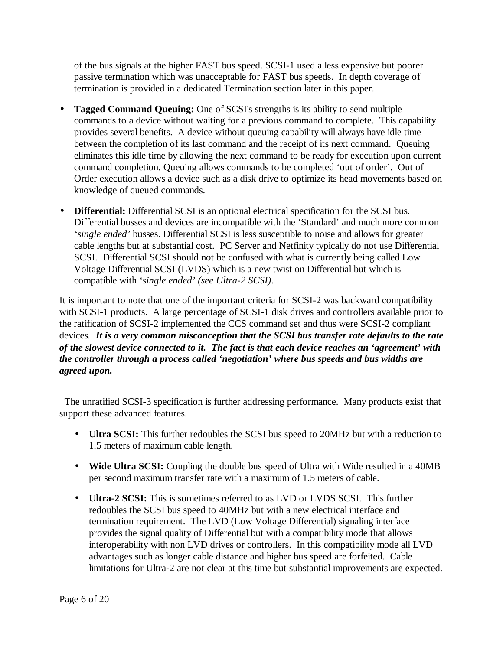of the bus signals at the higher FAST bus speed. SCSI-1 used a less expensive but poorer passive termination which was unacceptable for FAST bus speeds. In depth coverage of termination is provided in a dedicated Termination section later in this paper.

- **Tagged Command Queuing:** One of SCSI's strengths is its ability to send multiple commands to a device without waiting for a previous command to complete. This capability provides several benefits. A device without queuing capability will always have idle time between the completion of its last command and the receipt of its next command. Queuing eliminates this idle time by allowing the next command to be ready for execution upon current command completion. Queuing allows commands to be completed 'out of order'. Out of Order execution allows a device such as a disk drive to optimize its head movements based on knowledge of queued commands.
- **Differential:** Differential SCSI is an optional electrical specification for the SCSI bus. Differential busses and devices are incompatible with the 'Standard' and much more common *'single ended'* busses. Differential SCSI is less susceptible to noise and allows for greater cable lengths but at substantial cost. PC Server and Netfinity typically do not use Differential SCSI. Differential SCSI should not be confused with what is currently being called Low Voltage Differential SCSI (LVDS) which is a new twist on Differential but which is compatible with *'single ended' (see Ultra-2 SCSI)*.

It is important to note that one of the important criteria for SCSI-2 was backward compatibility with SCSI-1 products. A large percentage of SCSI-1 disk drives and controllers available prior to the ratification of SCSI-2 implemented the CCS command set and thus were SCSI-2 compliant devices*. It is a very common misconception that the SCSI bus transfer rate defaults to the rate of the slowest device connected to it. The fact is that each device reaches an 'agreement' with the controller through a process called 'negotiation' where bus speeds and bus widths are agreed upon.*

 The unratified SCSI-3 specification is further addressing performance. Many products exist that support these advanced features.

- **Ultra SCSI:** This further redoubles the SCSI bus speed to 20MHz but with a reduction to 1.5 meters of maximum cable length.
- **Wide Ultra SCSI:** Coupling the double bus speed of Ultra with Wide resulted in a 40MB per second maximum transfer rate with a maximum of 1.5 meters of cable.
- **Ultra-2 SCSI:** This is sometimes referred to as LVD or LVDS SCSI. This further redoubles the SCSI bus speed to 40MHz but with a new electrical interface and termination requirement. The LVD (Low Voltage Differential) signaling interface provides the signal quality of Differential but with a compatibility mode that allows interoperability with non LVD drives or controllers. In this compatibility mode all LVD advantages such as longer cable distance and higher bus speed are forfeited. Cable limitations for Ultra-2 are not clear at this time but substantial improvements are expected.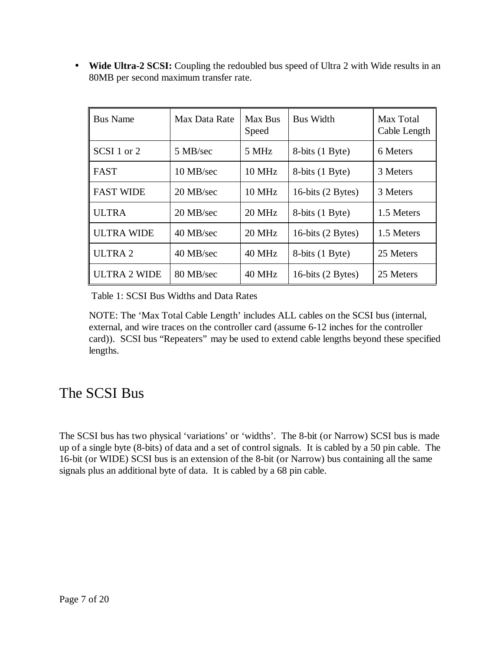• **Wide Ultra-2 SCSI:** Coupling the redoubled bus speed of Ultra 2 with Wide results in an 80MB per second maximum transfer rate.

| <b>Bus Name</b>    | Max Data Rate       | Max Bus<br>Speed | <b>Bus Width</b>            | Max Total<br>Cable Length |
|--------------------|---------------------|------------------|-----------------------------|---------------------------|
| SCSI 1 or 2        | 5 MB/sec            | 5 MHz            | 8-bits (1 Byte)             | 6 Meters                  |
| l FAST             | 10 MB/sec           | <b>10 MHz</b>    | 8-bits (1 Byte)             | 3 Meters                  |
| I FAST WIDE        | $20 \text{ MB/sec}$ | 10 MHz           | 16-bits $(2 \text{ Bytes})$ | 3 Meters                  |
| <b>ULTRA</b>       | 20 MB/sec           | 20 MHz           | 8-bits (1 Byte)             | 1.5 Meters                |
| ULTRA WIDE         | 40 MB/sec           | 20 MHz           | 16-bits $(2 \text{ Bytes})$ | 1.5 Meters                |
| ULTRA <sub>2</sub> | 40 MB/sec           | 40 MHz           | 8-bits (1 Byte)             | 25 Meters                 |
| ULTRA 2 WIDE       | 80 MB/sec           | 40 MHz           | 16-bits $(2 \text{ Bytes})$ | 25 Meters                 |

Table 1: SCSI Bus Widths and Data Rates

NOTE: The 'Max Total Cable Length' includes ALL cables on the SCSI bus (internal, external, and wire traces on the controller card (assume 6-12 inches for the controller card)). SCSI bus "Repeaters" may be used to extend cable lengths beyond these specified lengths.

#### The SCSI Bus

The SCSI bus has two physical 'variations' or 'widths'. The 8-bit (or Narrow) SCSI bus is made up of a single byte (8-bits) of data and a set of control signals. It is cabled by a 50 pin cable. The 16-bit (or WIDE) SCSI bus is an extension of the 8-bit (or Narrow) bus containing all the same signals plus an additional byte of data. It is cabled by a 68 pin cable.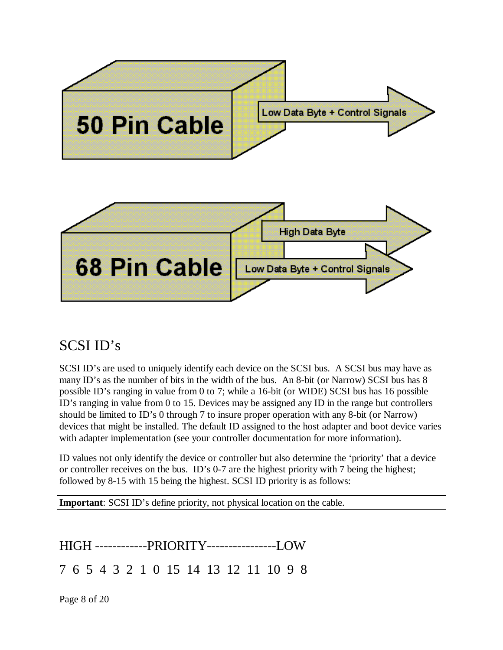

## SCSI ID's

SCSI ID's are used to uniquely identify each device on the SCSI bus. A SCSI bus may have as many ID's as the number of bits in the width of the bus. An 8-bit (or Narrow) SCSI bus has 8 possible ID's ranging in value from 0 to 7; while a 16-bit (or WIDE) SCSI bus has 16 possible ID's ranging in value from 0 to 15. Devices may be assigned any ID in the range but controllers should be limited to ID's 0 through 7 to insure proper operation with any 8-bit (or Narrow) devices that might be installed. The default ID assigned to the host adapter and boot device varies with adapter implementation (see your controller documentation for more information).

ID values not only identify the device or controller but also determine the 'priority' that a device or controller receives on the bus. ID's 0-7 are the highest priority with 7 being the highest; followed by 8-15 with 15 being the highest. SCSI ID priority is as follows:

**Important**: SCSI ID's define priority, not physical location on the cable.

HIGH ------------PRIORITY----------------LOW

7 6 5 4 3 2 1 0 15 14 13 12 11 10 9 8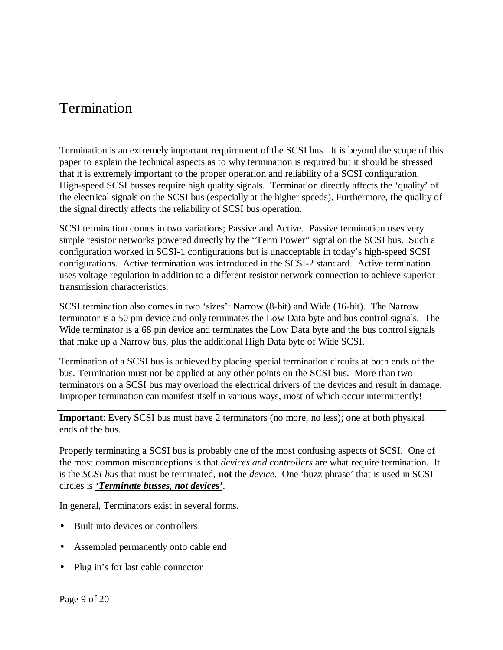#### Termination

Termination is an extremely important requirement of the SCSI bus. It is beyond the scope of this paper to explain the technical aspects as to why termination is required but it should be stressed that it is extremely important to the proper operation and reliability of a SCSI configuration. High-speed SCSI busses require high quality signals. Termination directly affects the 'quality' of the electrical signals on the SCSI bus (especially at the higher speeds). Furthermore, the quality of the signal directly affects the reliability of SCSI bus operation.

SCSI termination comes in two variations; Passive and Active. Passive termination uses very simple resistor networks powered directly by the "Term Power" signal on the SCSI bus. Such a configuration worked in SCSI-1 configurations but is unacceptable in today's high-speed SCSI configurations. Active termination was introduced in the SCSI-2 standard. Active termination uses voltage regulation in addition to a different resistor network connection to achieve superior transmission characteristics.

SCSI termination also comes in two 'sizes': Narrow (8-bit) and Wide (16-bit). The Narrow terminator is a 50 pin device and only terminates the Low Data byte and bus control signals. The Wide terminator is a 68 pin device and terminates the Low Data byte and the bus control signals that make up a Narrow bus, plus the additional High Data byte of Wide SCSI.

Termination of a SCSI bus is achieved by placing special termination circuits at both ends of the bus. Termination must not be applied at any other points on the SCSI bus. More than two terminators on a SCSI bus may overload the electrical drivers of the devices and result in damage. Improper termination can manifest itself in various ways, most of which occur intermittently!

**Important**: Every SCSI bus must have 2 terminators (no more, no less); one at both physical ends of the bus.

Properly terminating a SCSI bus is probably one of the most confusing aspects of SCSI. One of the most common misconceptions is that *devices and controllers* are what require termination. It is the *SCSI bus* that must be terminated, **not** the *device*. One 'buzz phrase' that is used in SCSI circles is *'Terminate busses, not devices'*.

In general, Terminators exist in several forms.

- Built into devices or controllers
- Assembled permanently onto cable end
- Plug in's for last cable connector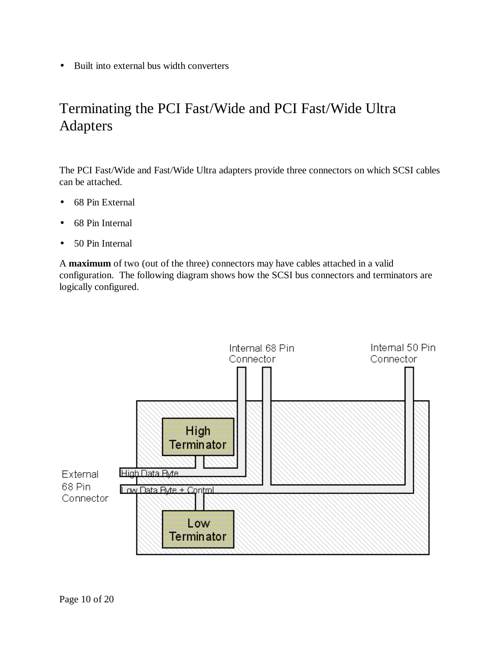• Built into external bus width converters

## Terminating the PCI Fast/Wide and PCI Fast/Wide Ultra Adapters

The PCI Fast/Wide and Fast/Wide Ultra adapters provide three connectors on which SCSI cables can be attached.

- 68 Pin External
- 68 Pin Internal
- 50 Pin Internal

A **maximum** of two (out of the three) connectors may have cables attached in a valid configuration. The following diagram shows how the SCSI bus connectors and terminators are logically configured.

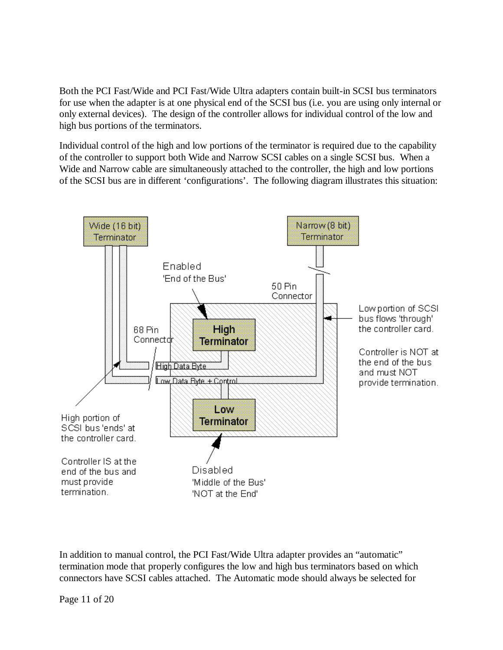Both the PCI Fast/Wide and PCI Fast/Wide Ultra adapters contain built-in SCSI bus terminators for use when the adapter is at one physical end of the SCSI bus (i.e. you are using only internal or only external devices). The design of the controller allows for individual control of the low and high bus portions of the terminators.

Individual control of the high and low portions of the terminator is required due to the capability of the controller to support both Wide and Narrow SCSI cables on a single SCSI bus. When a Wide and Narrow cable are simultaneously attached to the controller, the high and low portions of the SCSI bus are in different 'configurations'. The following diagram illustrates this situation:



In addition to manual control, the PCI Fast/Wide Ultra adapter provides an "automatic" termination mode that properly configures the low and high bus terminators based on which connectors have SCSI cables attached. The Automatic mode should always be selected for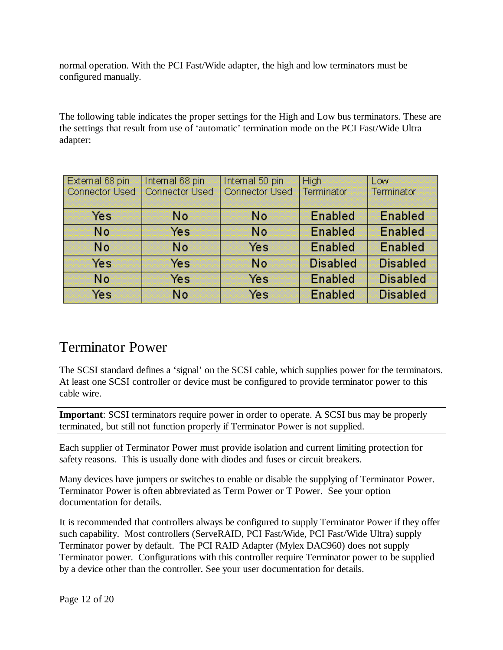normal operation. With the PCI Fast/Wide adapter, the high and low terminators must be configured manually.

The following table indicates the proper settings for the High and Low bus terminators. These are the settings that result from use of 'automatic' termination mode on the PCI Fast/Wide Ultra adapter:

| External 68 pin       | Internal 68 pin       | Internal 50 pin       | <b>High</b>     | Low             |
|-----------------------|-----------------------|-----------------------|-----------------|-----------------|
| <b>Connector Used</b> | <b>Connector Used</b> | <b>Connector Used</b> | Terminator      | Terminator      |
| Yes                   | <b>No</b>             | <b>No</b>             | <b>Enabled</b>  | <b>Enabled</b>  |
| No.                   | Yes                   | <b>No</b>             | <b>Enabled</b>  | <b>Enabled</b>  |
| <b>No</b>             | <b>No</b>             | Yes                   | <b>Enabled</b>  | <b>Enabled</b>  |
| Yes                   | Yes                   | No                    | <b>Disabled</b> | <b>Disabled</b> |
| No.                   | Yes                   | Yes                   | <b>Enabled</b>  | <b>Disabled</b> |
| Yes                   | No.                   | Yes                   | <b>Enabled</b>  | <b>Disabled</b> |

#### Terminator Power

The SCSI standard defines a 'signal' on the SCSI cable, which supplies power for the terminators. At least one SCSI controller or device must be configured to provide terminator power to this cable wire.

**Important**: SCSI terminators require power in order to operate. A SCSI bus may be properly terminated, but still not function properly if Terminator Power is not supplied.

Each supplier of Terminator Power must provide isolation and current limiting protection for safety reasons. This is usually done with diodes and fuses or circuit breakers.

Many devices have jumpers or switches to enable or disable the supplying of Terminator Power. Terminator Power is often abbreviated as Term Power or T Power. See your option documentation for details.

It is recommended that controllers always be configured to supply Terminator Power if they offer such capability. Most controllers (ServeRAID, PCI Fast/Wide, PCI Fast/Wide Ultra) supply Terminator power by default. The PCI RAID Adapter (Mylex DAC960) does not supply Terminator power. Configurations with this controller require Terminator power to be supplied by a device other than the controller. See your user documentation for details.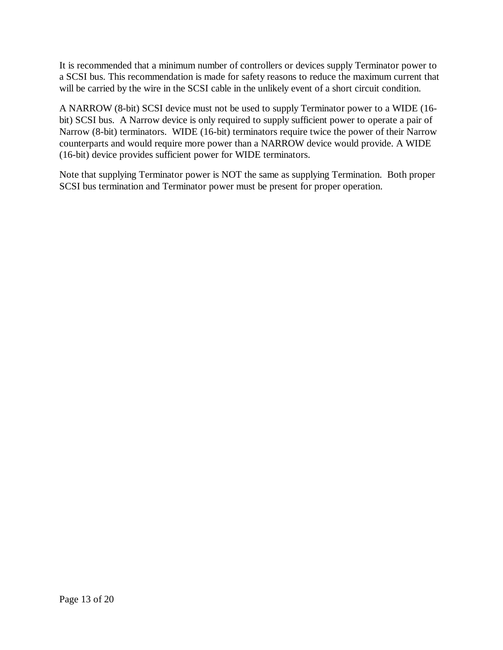It is recommended that a minimum number of controllers or devices supply Terminator power to a SCSI bus. This recommendation is made for safety reasons to reduce the maximum current that will be carried by the wire in the SCSI cable in the unlikely event of a short circuit condition.

A NARROW (8-bit) SCSI device must not be used to supply Terminator power to a WIDE (16 bit) SCSI bus. A Narrow device is only required to supply sufficient power to operate a pair of Narrow (8-bit) terminators. WIDE (16-bit) terminators require twice the power of their Narrow counterparts and would require more power than a NARROW device would provide. A WIDE (16-bit) device provides sufficient power for WIDE terminators.

Note that supplying Terminator power is NOT the same as supplying Termination. Both proper SCSI bus termination and Terminator power must be present for proper operation.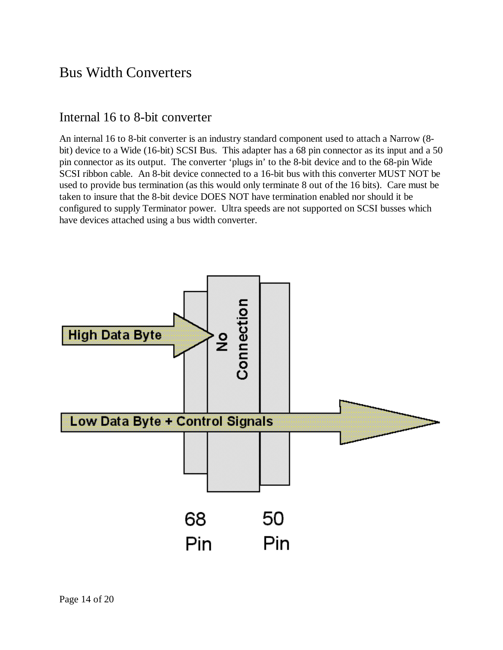#### Bus Width Converters

#### Internal 16 to 8-bit converter

An internal 16 to 8-bit converter is an industry standard component used to attach a Narrow (8 bit) device to a Wide (16-bit) SCSI Bus. This adapter has a 68 pin connector as its input and a 50 pin connector as its output. The converter 'plugs in' to the 8-bit device and to the 68-pin Wide SCSI ribbon cable. An 8-bit device connected to a 16-bit bus with this converter MUST NOT be used to provide bus termination (as this would only terminate 8 out of the 16 bits). Care must be taken to insure that the 8-bit device DOES NOT have termination enabled nor should it be configured to supply Terminator power. Ultra speeds are not supported on SCSI busses which have devices attached using a bus width converter.

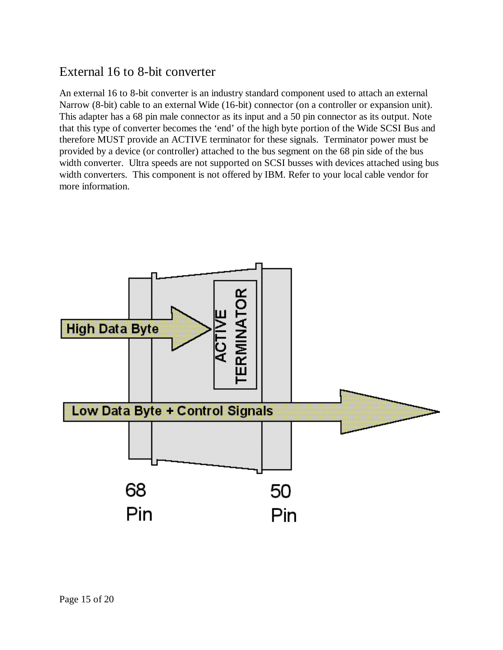#### External 16 to 8-bit converter

An external 16 to 8-bit converter is an industry standard component used to attach an external Narrow (8-bit) cable to an external Wide (16-bit) connector (on a controller or expansion unit). This adapter has a 68 pin male connector as its input and a 50 pin connector as its output. Note that this type of converter becomes the 'end' of the high byte portion of the Wide SCSI Bus and therefore MUST provide an ACTIVE terminator for these signals. Terminator power must be provided by a device (or controller) attached to the bus segment on the 68 pin side of the bus width converter. Ultra speeds are not supported on SCSI busses with devices attached using bus width converters. This component is not offered by IBM. Refer to your local cable vendor for more information.

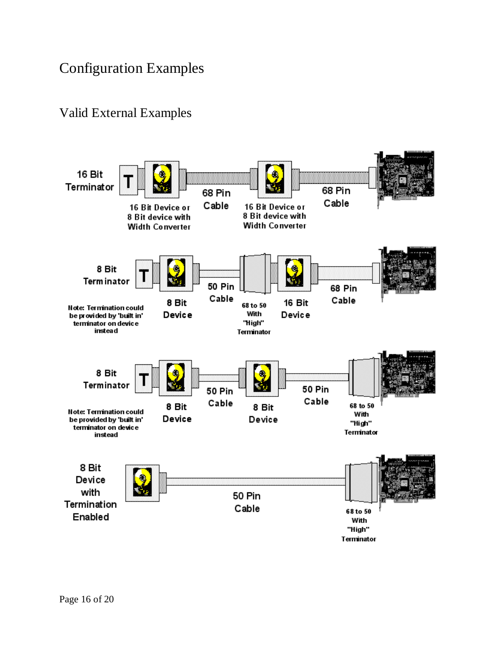## Configuration Examples

#### Valid External Examples

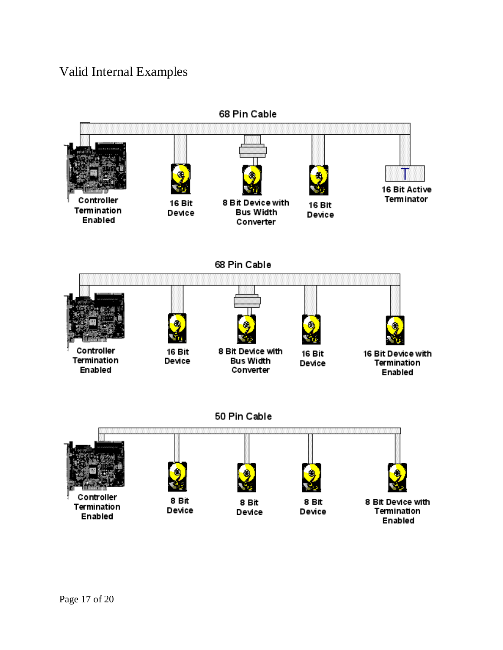#### Valid Internal Examples

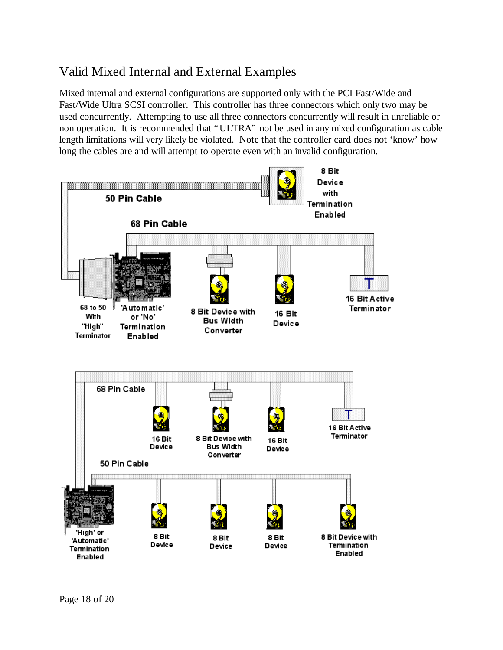#### Valid Mixed Internal and External Examples

Mixed internal and external configurations are supported only with the PCI Fast/Wide and Fast/Wide Ultra SCSI controller. This controller has three connectors which only two may be used concurrently. Attempting to use all three connectors concurrently will result in unreliable or non operation. It is recommended that "ULTRA" not be used in any mixed configuration as cable length limitations will very likely be violated. Note that the controller card does not 'know' how long the cables are and will attempt to operate even with an invalid configuration.

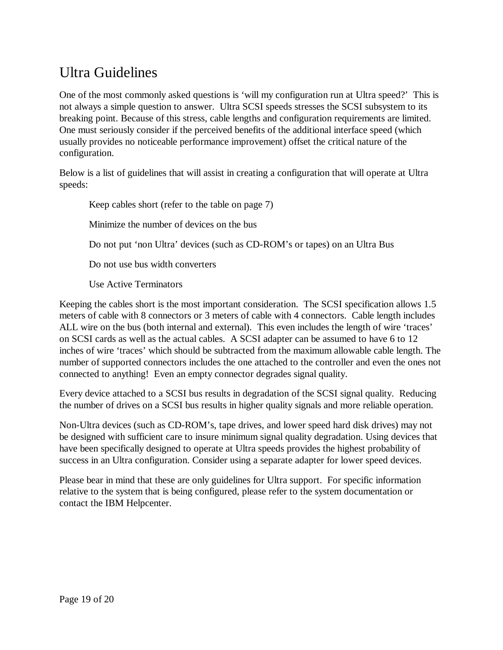## Ultra Guidelines

One of the most commonly asked questions is 'will my configuration run at Ultra speed?' This is not always a simple question to answer. Ultra SCSI speeds stresses the SCSI subsystem to its breaking point. Because of this stress, cable lengths and configuration requirements are limited. One must seriously consider if the perceived benefits of the additional interface speed (which usually provides no noticeable performance improvement) offset the critical nature of the configuration.

Below is a list of guidelines that will assist in creating a configuration that will operate at Ultra speeds:

Keep cables short (refer to the table on page 7)

Minimize the number of devices on the bus

Do not put 'non Ultra' devices (such as CD-ROM's or tapes) on an Ultra Bus

Do not use bus width converters

Use Active Terminators

Keeping the cables short is the most important consideration. The SCSI specification allows 1.5 meters of cable with 8 connectors or 3 meters of cable with 4 connectors. Cable length includes ALL wire on the bus (both internal and external). This even includes the length of wire 'traces' on SCSI cards as well as the actual cables. A SCSI adapter can be assumed to have 6 to 12 inches of wire 'traces' which should be subtracted from the maximum allowable cable length. The number of supported connectors includes the one attached to the controller and even the ones not connected to anything! Even an empty connector degrades signal quality.

Every device attached to a SCSI bus results in degradation of the SCSI signal quality. Reducing the number of drives on a SCSI bus results in higher quality signals and more reliable operation.

Non-Ultra devices (such as CD-ROM's, tape drives, and lower speed hard disk drives) may not be designed with sufficient care to insure minimum signal quality degradation. Using devices that have been specifically designed to operate at Ultra speeds provides the highest probability of success in an Ultra configuration. Consider using a separate adapter for lower speed devices.

Please bear in mind that these are only guidelines for Ultra support. For specific information relative to the system that is being configured, please refer to the system documentation or contact the IBM Helpcenter.